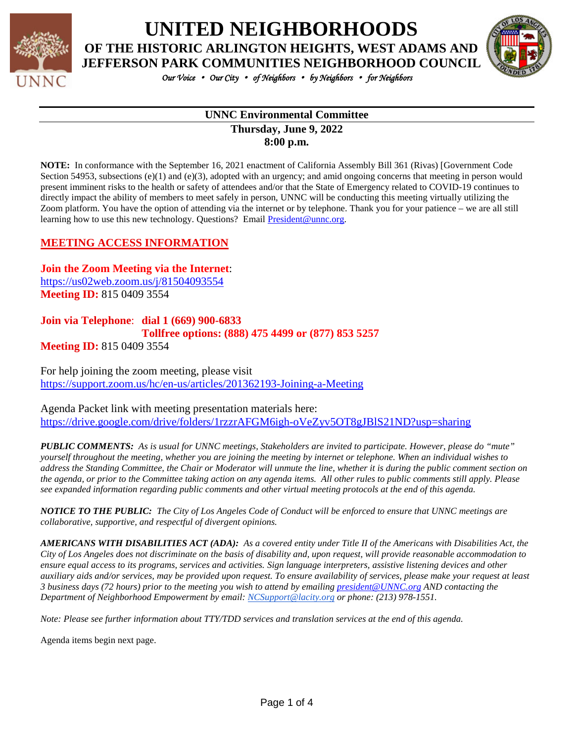

## **UNITED NEIGHBORHOODS OF THE HISTORIC ARLINGTON HEIGHTS, WEST ADAMS AND**



*Our Voice* • *Our City* • *of Neighbors* • *by Neighbors* • *for Neighbors* 

#### **UNNC Environmental Committee Thursday, June 9, 2022 8:00 p.m.**

**NOTE:** In conformance with the September 16, 2021 enactment of California Assembly Bill 361 (Rivas) [Government Code Section 54953, subsections (e)(1) and (e)(3), adopted with an urgency; and amid ongoing concerns that meeting in person would present imminent risks to the health or safety of attendees and/or that the State of Emergency related to COVID-19 continues to directly impact the ability of members to meet safely in person, UNNC will be conducting this meeting virtually utilizing the Zoom platform. You have the option of attending via the internet or by telephone. Thank you for your patience – we are all still learning how to use this new technology. Questions? Emai[l President@unnc.org.](mailto:President@unnc.org)

#### **MEETING ACCESS INFORMATION**

**Join the Zoom Meeting via the Internet**: <https://us02web.zoom.us/j/81504093554> **Meeting ID:** 815 0409 3554

## **Join via Telephone**: **dial 1 (669) 900-6833 Tollfree options: (888) 475 4499 or (877) 853 5257**

**Meeting ID:** 815 0409 3554

For help joining the zoom meeting, please visit <https://support.zoom.us/hc/en-us/articles/201362193-Joining-a-Meeting>

Agenda Packet link with meeting presentation materials here: <https://drive.google.com/drive/folders/1rzzrAFGM6igh-oVeZyv5OT8gJBlS21ND?usp=sharing>

*PUBLIC COMMENTS: As is usual for UNNC meetings, Stakeholders are invited to participate. However, please do "mute" yourself throughout the meeting, whether you are joining the meeting by internet or telephone. When an individual wishes to address the Standing Committee, the Chair or Moderator will unmute the line, whether it is during the public comment section on the agenda, or prior to the Committee taking action on any agenda items. All other rules to public comments still apply. Please see expanded information regarding public comments and other virtual meeting protocols at the end of this agenda.*

*NOTICE TO THE PUBLIC: The City of Los Angeles Code of Conduct will be enforced to ensure that UNNC meetings are collaborative, supportive, and respectful of divergent opinions.* 

*AMERICANS WITH DISABILITIES ACT (ADA): As a covered entity under Title II of the Americans with Disabilities Act, the City of Los Angeles does not discriminate on the basis of disability and, upon request, will provide reasonable accommodation to ensure equal access to its programs, services and activities. Sign language interpreters, assistive listening devices and other auxiliary aids and/or services, may be provided upon request. To ensure availability of services, please make your request at least 3 business days (72 hours) prior to the meeting you wish to attend by emailin[g president@UNNC.org](mailto:president@UNNC.org) AND contacting the Department of Neighborhood Empowerment by email: [NCSupport@lacity.org](mailto:NCSupport@lacity.org) or phone: (213) 978-1551.*

*Note: Please see further information about TTY/TDD services and translation services at the end of this agenda.*

Agenda items begin next page.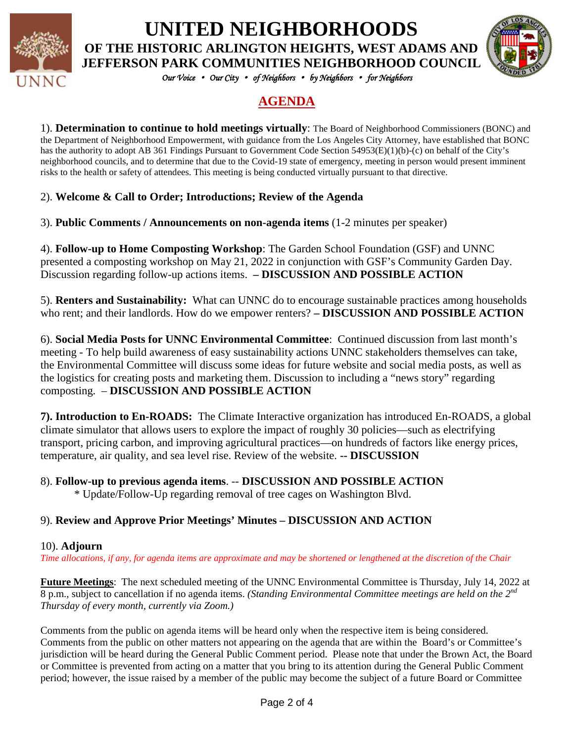

**UNITED NEIGHBORHOODS OF THE HISTORIC ARLINGTON HEIGHTS, WEST ADAMS AND JEFFERSON PARK COMMUNITIES NEIGHBORHOOD COUNCIL**



*Our Voice* • *Our City* • *of Neighbors* • *by Neighbors* • *for Neighbors* 

## **AGENDA**

1). **Determination to continue to hold meetings virtually**: The Board of Neighborhood Commissioners (BONC) and the Department of Neighborhood Empowerment, with guidance from the Los Angeles City Attorney, have established that BONC has the authority to adopt AB 361 Findings Pursuant to Government Code Section 54953(E)(1)(b)-(c) on behalf of the City's neighborhood councils, and to determine that due to the Covid-19 state of emergency, meeting in person would present imminent risks to the health or safety of attendees. This meeting is being conducted virtually pursuant to that directive.

#### 2). **Welcome & Call to Order; Introductions; Review of the Agenda**

3). **Public Comments / Announcements on non-agenda items** (1-2 minutes per speaker)

4). **Follow-up to Home Composting Workshop**: The Garden School Foundation (GSF) and UNNC presented a composting workshop on May 21, 2022 in conjunction with GSF's Community Garden Day. Discussion regarding follow-up actions items. **– DISCUSSION AND POSSIBLE ACTION**

5). **Renters and Sustainability:** What can UNNC do to encourage sustainable practices among households who rent; and their landlords. How do we empower renters? **– DISCUSSION AND POSSIBLE ACTION**

6). **Social Media Posts for UNNC Environmental Committee**: Continued discussion from last month's meeting - To help build awareness of easy sustainability actions UNNC stakeholders themselves can take, the Environmental Committee will discuss some ideas for future website and social media posts, as well as the logistics for creating posts and marketing them. Discussion to including a "news story" regarding composting. – **DISCUSSION AND POSSIBLE ACTION**

**7). Introduction to En-ROADS:** The Climate Interactive organization has introduced En-ROADS, a global climate simulator that allows users to explore the impact of roughly 30 policies—such as electrifying transport, pricing carbon, and improving agricultural practices—on hundreds of factors like energy prices, temperature, air quality, and sea level rise. Review of the website. **-- DISCUSSION**

#### 8). **Follow-up to previous agenda items**. -- **DISCUSSION AND POSSIBLE ACTION**

\* Update/Follow-Up regarding removal of tree cages on Washington Blvd.

### 9). **Review and Approve Prior Meetings' Minutes – DISCUSSION AND ACTION**

#### 10). **Adjourn**

*Time allocations, if any, for agenda items are approximate and may be shortened or lengthened at the discretion of the Chair*

**Future Meetings**: The next scheduled meeting of the UNNC Environmental Committee is Thursday, July 14, 2022 at 8 p.m., subject to cancellation if no agenda items. *(Standing Environmental Committee meetings are held on the 2nd Thursday of every month, currently via Zoom.)*

Comments from the public on agenda items will be heard only when the respective item is being considered. Comments from the public on other matters not appearing on the agenda that are within the Board's or Committee's jurisdiction will be heard during the General Public Comment period. Please note that under the Brown Act, the Board or Committee is prevented from acting on a matter that you bring to its attention during the General Public Comment period; however, the issue raised by a member of the public may become the subject of a future Board or Committee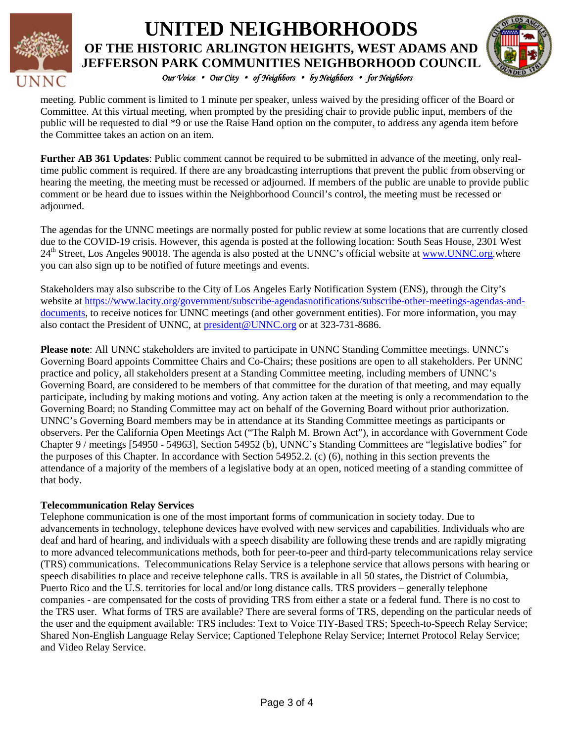

## *Our Voice* • *Our City* • *of Neighbors* • *by Neighbors* • *for Neighbors*  **UNITED NEIGHBORHOODS OF THE HISTORIC ARLINGTON HEIGHTS, WEST ADAMS AND JEFFERSON PARK COMMUNITIES NEIGHBORHOOD COUNCIL**



meeting. Public comment is limited to 1 minute per speaker, unless waived by the presiding officer of the Board or Committee. At this virtual meeting, when prompted by the presiding chair to provide public input, members of the public will be requested to dial \*9 or use the Raise Hand option on the computer, to address any agenda item before the Committee takes an action on an item.

**Further AB 361 Updates**: Public comment cannot be required to be submitted in advance of the meeting, only realtime public comment is required. If there are any broadcasting interruptions that prevent the public from observing or hearing the meeting, the meeting must be recessed or adjourned. If members of the public are unable to provide public comment or be heard due to issues within the Neighborhood Council's control, the meeting must be recessed or adjourned.

The agendas for the UNNC meetings are normally posted for public review at some locations that are currently closed due to the COVID-19 crisis. However, this agenda is posted at the following location: South Seas House, 2301 West 24<sup>th</sup> Street, Los Angeles 90018. The agenda is also posted at the UNNC's official website at [www.UNNC.org.](http://www.unnc.org/)where you can also sign up to be notified of future meetings and events.

Stakeholders may also subscribe to the City of Los Angeles Early Notification System (ENS), through the City's website at [https://www.lacity.org/government/subscribe-agendasnotifications/subscribe-other-meetings-agendas-and](https://www.lacity.org/government/subscribe-agendasnotifications/subscribe-other-meetings-agendas-and-documents)[documents,](https://www.lacity.org/government/subscribe-agendasnotifications/subscribe-other-meetings-agendas-and-documents) to receive notices for UNNC meetings (and other government entities). For more information, you may also contact the President of UNNC, at [president@UNNC.org](mailto:president@UNNC.org) or at 323-731-8686.

**Please note**: All UNNC stakeholders are invited to participate in UNNC Standing Committee meetings. UNNC's Governing Board appoints Committee Chairs and Co-Chairs; these positions are open to all stakeholders. Per UNNC practice and policy, all stakeholders present at a Standing Committee meeting, including members of UNNC's Governing Board, are considered to be members of that committee for the duration of that meeting, and may equally participate, including by making motions and voting. Any action taken at the meeting is only a recommendation to the Governing Board; no Standing Committee may act on behalf of the Governing Board without prior authorization. UNNC's Governing Board members may be in attendance at its Standing Committee meetings as participants or observers. Per the California Open Meetings Act ("The Ralph M. Brown Act"), in accordance with Government Code Chapter 9 / meetings [54950 - 54963], Section 54952 (b), UNNC's Standing Committees are "legislative bodies" for the purposes of this Chapter. In accordance with Section 54952.2. (c) (6), nothing in this section prevents the attendance of a majority of the members of a legislative body at an open, noticed meeting of a standing committee of that body.

#### **Telecommunication Relay Services**

Telephone communication is one of the most important forms of communication in society today. Due to advancements in technology, telephone devices have evolved with new services and capabilities. Individuals who are deaf and hard of hearing, and individuals with a speech disability are following these trends and are rapidly migrating to more advanced telecommunications methods, both for peer-to-peer and third-party telecommunications relay service (TRS) communications. Telecommunications Relay Service is a telephone service that allows persons with hearing or speech disabilities to place and receive telephone calls. TRS is available in all 50 states, the District of Columbia, Puerto Rico and the U.S. territories for local and/or long distance calls. TRS providers – generally telephone companies - are compensated for the costs of providing TRS from either a state or a federal fund. There is no cost to the TRS user. What forms of TRS are available? There are several forms of TRS, depending on the particular needs of the user and the equipment available: TRS includes: Text to Voice TIY-Based TRS; Speech-to-Speech Relay Service; Shared Non-English Language Relay Service; Captioned Telephone Relay Service; Internet Protocol Relay Service; and Video Relay Service.